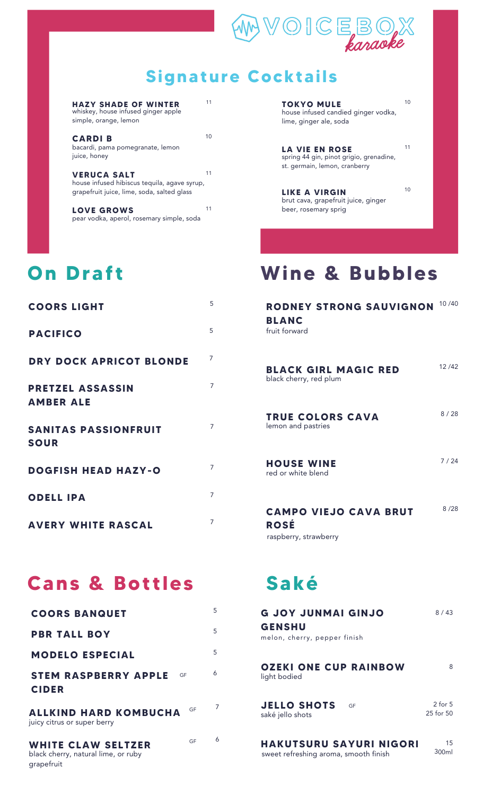

#### **Signature Cocktails**

| HAZY SHADE OF WINTER<br>whiskey, house infused ginger apple<br>simple, orange, lemon                             | 11 |
|------------------------------------------------------------------------------------------------------------------|----|
| <b>CARDIB</b><br>bacardi, pama pomegranate, lemon<br>juice, honey                                                | 10 |
| <b>VERUCA SALT</b><br>house infused hibiscus tequila, agave syrup,<br>grapefruit juice, lime, soda, salted glass | 11 |
| <b>LOVE GROWS</b><br>pear vodka, aperol, rosemary simple, soda                                                   | 11 |

### **On Draf t**

| <b>COORS LIGHT</b>                          | 5              |
|---------------------------------------------|----------------|
| <b>PACIFICO</b>                             | 5              |
| DRY DOCK APRICOT BLONDE                     | $\overline{7}$ |
| <b>PRETZEL ASSASSIN</b><br><b>AMBER ALE</b> | $\overline{7}$ |
| <b>SANITAS PASSIONFRUIT</b><br><b>SOUR</b>  | $\overline{7}$ |
| <b>DOGFISH HEAD HAZY-O</b>                  | $\overline{7}$ |
| <b>ODELL IPA</b>                            | 7              |
| <b>AVERY WHITE RASCAL</b>                   | $\overline{7}$ |

## **Cans & Bot t les**

| <b>COORS BANQUET</b>                                                          | 5 |
|-------------------------------------------------------------------------------|---|
| <b>PBR TALL BOY</b>                                                           | 5 |
| <b>MODELO ESPECIAL</b>                                                        | 5 |
| STEM RASPBERRY APPLE<br>GF<br><b>CIDER</b>                                    | 6 |
| GF<br><b>ALLKIND HARD KOMBUCHA</b><br>juicy citrus or super berry             | 7 |
| GF<br>WHITE CLAW SELTZER<br>black cherry, natural lime, or ruby<br>grapefruit | 6 |

| <b>TOKYO MULE</b><br>house infused candied ginger vodka,<br>lime, ginger ale, soda         |    |
|--------------------------------------------------------------------------------------------|----|
| LA VIE EN ROSE<br>spring 44 gin, pinot grigio, grenadine,<br>st. germain, lemon, cranberry | 11 |

10

**LIKE A VIRGIN** brut cava, grapefruit juice, ginger beer, rosemary sprig

# **Wine & Bubbles**

| RODNEY STRONG SAUVIGNON<br><b>BLANC</b><br>fruit forward             | 10/40 |
|----------------------------------------------------------------------|-------|
| <b>BLACK GIRL MAGIC RED</b><br>black cherry, red plum                | 12/42 |
| <b>TRUE COLORS CAVA</b><br>lemon and pastries                        | 8/28  |
| <b>HOUSE WINE</b><br>red or white blend                              | 7/24  |
| <b>CAMPO VIEJO CAVA BRUT</b><br><b>ROSÉ</b><br>raspberry, strawberry | 8/28  |

# **Saké**

| <b>G JOY JUNMAI GINJO</b><br><b>GENSHU</b><br>melon, cherry, pepper finish | 8/43                     |
|----------------------------------------------------------------------------|--------------------------|
| <b>OZEKI ONE CUP RAINBOW</b><br>light bodied                               | 8                        |
| <b>JELLO SHOTS</b><br>GF<br>saké jello shots                               | $2$ for $5$<br>25 for 50 |
| <b>HAKUTSURU SAYURI NIGORI</b><br>sweet refreshing aroma, smooth finish    | 15<br>300ml              |